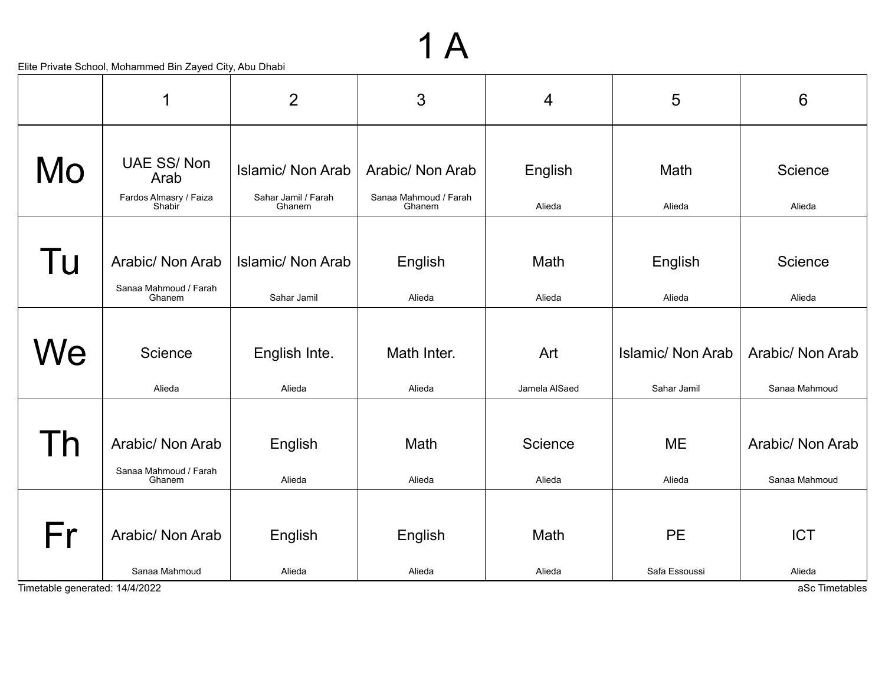#### Elite Private School, Mohammed Bin Zayed City, Abu Dhabi

|                | $\mathbf 1$                                                   | $\overline{2}$                                            | 3                                                   | 4                    | 5                                       | 6                                 |
|----------------|---------------------------------------------------------------|-----------------------------------------------------------|-----------------------------------------------------|----------------------|-----------------------------------------|-----------------------------------|
| Mo             | <b>UAE SS/Non</b><br>Arab<br>Fardos Almasry / Faiza<br>Shabir | <b>Islamic/ Non Arab</b><br>Sahar Jamil / Farah<br>Ghanem | Arabic/ Non Arab<br>Sanaa Mahmoud / Farah<br>Ghanem | English<br>Alieda    | Math<br>Alieda                          | Science<br>Alieda                 |
| Tu             | Arabic/ Non Arab<br>Sanaa Mahmoud / Farah<br>Ghanem           | <b>Islamic/ Non Arab</b><br>Sahar Jamil                   | English<br>Alieda                                   | Math<br>Alieda       | English<br>Alieda                       | Science<br>Alieda                 |
| We             | Science<br>Alieda                                             | English Inte.<br>Alieda                                   | Math Inter.<br>Alieda                               | Art<br>Jamela AlSaed | <b>Islamic/ Non Arab</b><br>Sahar Jamil | Arabic/ Non Arab<br>Sanaa Mahmoud |
| $\overline{D}$ | Arabic/ Non Arab<br>Sanaa Mahmoud / Farah<br>Ghanem           | English<br>Alieda                                         | Math<br>Alieda                                      | Science<br>Alieda    | <b>ME</b><br>Alieda                     | Arabic/ Non Arab<br>Sanaa Mahmoud |
| Fr             | Arabic/ Non Arab<br>Sanaa Mahmoud                             | English<br>Alieda                                         | English<br>Alieda                                   | Math<br>Alieda       | <b>PE</b><br>Safa Essoussi              | <b>ICT</b><br>Alieda              |

1 A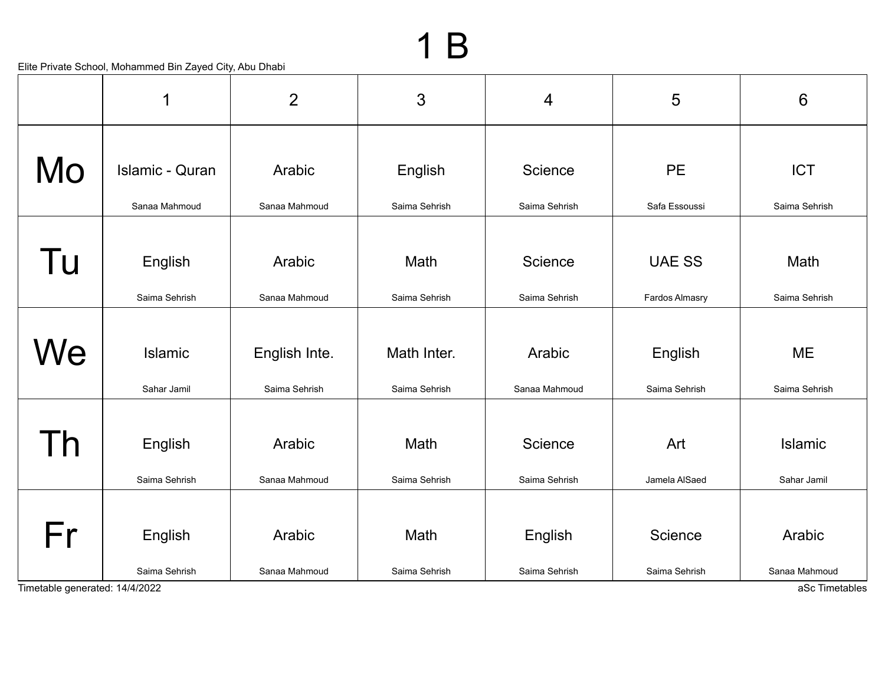|                                      | 1                        | $\overline{2}$                 | 3                            | $\overline{4}$           | 5                        | $6\phantom{1}$                            |
|--------------------------------------|--------------------------|--------------------------------|------------------------------|--------------------------|--------------------------|-------------------------------------------|
| Mo                                   | <b>Islamic - Quran</b>   | Arabic                         | English                      | Science                  | <b>PE</b>                | <b>ICT</b>                                |
|                                      | Sanaa Mahmoud            | Sanaa Mahmoud                  | Saima Sehrish                | Saima Sehrish            | Safa Essoussi            | Saima Sehrish                             |
| Tu                                   | English                  | Arabic                         | Math                         | Science                  | <b>UAE SS</b>            | Math                                      |
|                                      | Saima Sehrish            | Sanaa Mahmoud                  | Saima Sehrish                | Saima Sehrish            | Fardos Almasry           | Saima Sehrish                             |
| We                                   | Islamic<br>Sahar Jamil   | English Inte.<br>Saima Sehrish | Math Inter.<br>Saima Sehrish | Arabic<br>Sanaa Mahmoud  | English<br>Saima Sehrish | <b>ME</b><br>Saima Sehrish                |
| $\overline{h}$                       | English<br>Saima Sehrish | Arabic<br>Sanaa Mahmoud        | Math<br>Saima Sehrish        | Science<br>Saima Sehrish | Art<br>Jamela AlSaed     | <b>Islamic</b><br>Sahar Jamil             |
| Fr<br>Timetable generated: 14/4/2022 | English<br>Saima Sehrish | Arabic<br>Sanaa Mahmoud        | Math<br>Saima Sehrish        | English<br>Saima Sehrish | Science<br>Saima Sehrish | Arabic<br>Sanaa Mahmoud<br>aSc Timetables |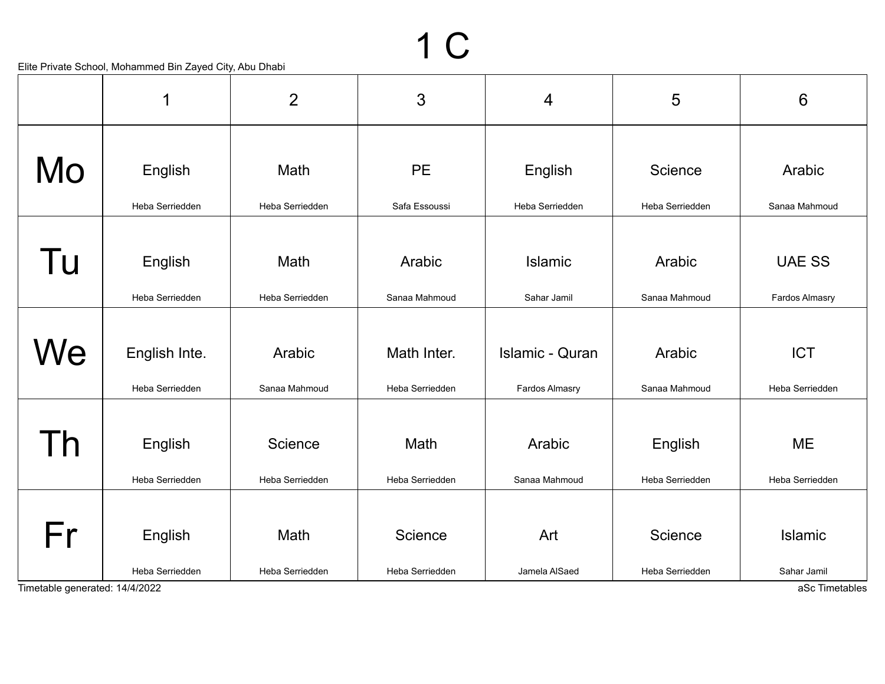|                                | 1               | $\overline{2}$  | 3               | $\overline{4}$         | 5               | $6\phantom{1}6$       |
|--------------------------------|-----------------|-----------------|-----------------|------------------------|-----------------|-----------------------|
|                                |                 |                 |                 |                        |                 |                       |
| Mo                             | English         | Math            | <b>PE</b>       | English                | Science         | Arabic                |
|                                | Heba Serriedden | Heba Serriedden | Safa Essoussi   | Heba Serriedden        | Heba Serriedden | Sanaa Mahmoud         |
|                                |                 |                 |                 |                        |                 |                       |
| Tu                             | English         | Math            | Arabic          | Islamic                | Arabic          | <b>UAE SS</b>         |
|                                | Heba Serriedden | Heba Serriedden | Sanaa Mahmoud   | Sahar Jamil            | Sanaa Mahmoud   | <b>Fardos Almasry</b> |
|                                |                 |                 |                 |                        |                 |                       |
| We                             | English Inte.   | Arabic          | Math Inter.     | <b>Islamic - Quran</b> | Arabic          | <b>ICT</b>            |
|                                | Heba Serriedden | Sanaa Mahmoud   | Heba Serriedden | Fardos Almasry         | Sanaa Mahmoud   | Heba Serriedden       |
|                                |                 |                 |                 |                        |                 |                       |
| h                              | English         | Science         | Math            | Arabic                 | English         | <b>ME</b>             |
|                                | Heba Serriedden | Heba Serriedden | Heba Serriedden | Sanaa Mahmoud          | Heba Serriedden | Heba Serriedden       |
|                                |                 |                 |                 |                        |                 |                       |
| Fr                             | English         | Math            | Science         | Art                    | Science         | Islamic               |
|                                | Heba Serriedden | Heba Serriedden | Heba Serriedden | Jamela AlSaed          | Heba Serriedden | Sahar Jamil           |
| Timetable generated: 14/4/2022 |                 |                 |                 |                        |                 | aSc Timetables        |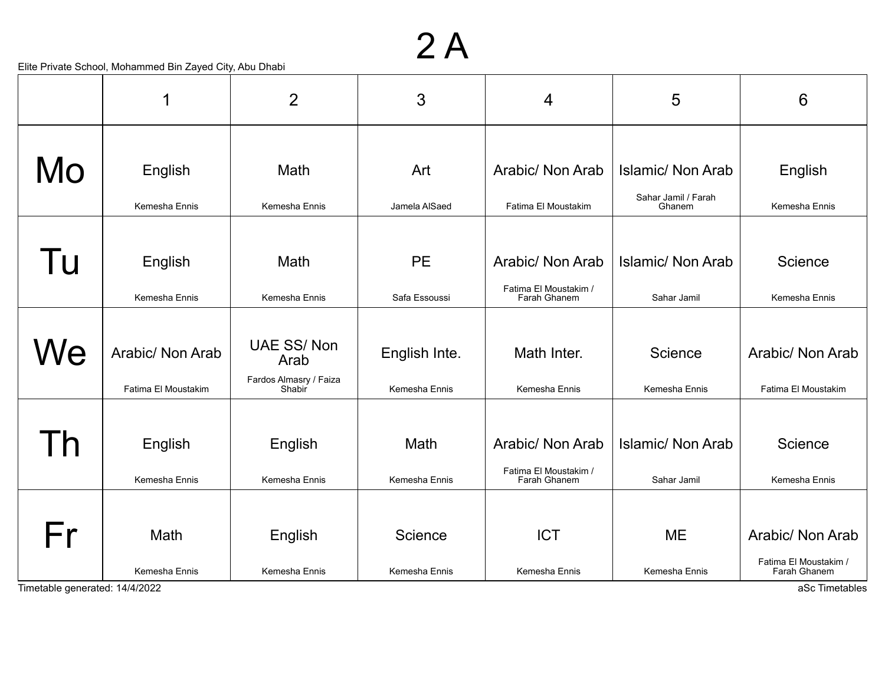#### 2 A

|                                | 1                        | $\overline{2}$                   | 3                     | 4                                                         | 5                                               | 6                                         |
|--------------------------------|--------------------------|----------------------------------|-----------------------|-----------------------------------------------------------|-------------------------------------------------|-------------------------------------------|
| Mo                             | English                  | Math                             | Art                   | Arabic/ Non Arab                                          | <b>Islamic/ Non Arab</b><br>Sahar Jamil / Farah | English                                   |
|                                | Kemesha Ennis            | Kemesha Ennis                    | Jamela AlSaed         | Fatima El Moustakim                                       | Ghanem                                          | Kemesha Ennis                             |
| Tu                             | English                  | Math                             | <b>PE</b>             | Arabic/ Non Arab<br>Fatima El Moustakim /                 | <b>Islamic/ Non Arab</b>                        | Science                                   |
|                                | Kemesha Ennis            | Kemesha Ennis                    | Safa Essoussi         | Farah Ghanem                                              | Sahar Jamil                                     | Kemesha Ennis                             |
| We                             | Arabic/ Non Arab         | <b>UAE SS/Non</b><br>Arab        | English Inte.         | Math Inter.                                               | Science                                         | Arabic/ Non Arab                          |
|                                | Fatima El Moustakim      | Fardos Almasry / Faiza<br>Shabir | Kemesha Ennis         | Kemesha Ennis                                             | Kemesha Ennis                                   | Fatima El Moustakim                       |
| Τh                             | English<br>Kemesha Ennis | English<br>Kemesha Ennis         | Math<br>Kemesha Ennis | Arabic/ Non Arab<br>Fatima El Moustakim /<br>Farah Ghanem | <b>Islamic/ Non Arab</b>                        | Science<br>Kemesha Ennis                  |
|                                |                          |                                  |                       |                                                           | Sahar Jamil                                     |                                           |
| Fr                             | Math                     | English                          | Science               | <b>ICT</b>                                                | <b>ME</b>                                       | Arabic/ Non Arab<br>Fatima El Moustakim / |
| Timetable generated: 14/4/2022 | Kemesha Ennis            | Kemesha Ennis                    | Kemesha Ennis         | Kemesha Ennis                                             | Kemesha Ennis                                   | Farah Ghanem<br>aSc Timetables            |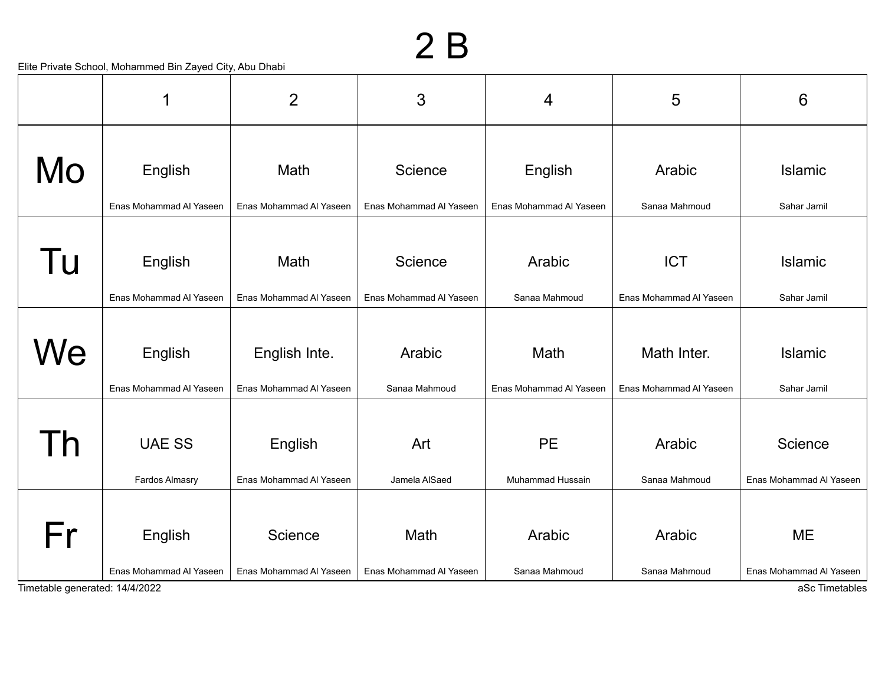|                                      | 1                                  | $\overline{2}$                     | 3                               | 4                       | 5                       | 6                                                      |
|--------------------------------------|------------------------------------|------------------------------------|---------------------------------|-------------------------|-------------------------|--------------------------------------------------------|
| Mo                                   | English                            | Math                               | Science                         | English                 | Arabic                  | Islamic                                                |
|                                      | Enas Mohammad Al Yaseen            | Enas Mohammad Al Yaseen            | Enas Mohammad Al Yaseen         | Enas Mohammad Al Yaseen | Sanaa Mahmoud           | Sahar Jamil                                            |
| Tu                                   | English                            | Math                               | Science                         | Arabic                  | <b>ICT</b>              | <b>Islamic</b>                                         |
|                                      | Enas Mohammad Al Yaseen            | Enas Mohammad Al Yaseen            | Enas Mohammad Al Yaseen         | Sanaa Mahmoud           | Enas Mohammad Al Yaseen | Sahar Jamil                                            |
| We                                   | English                            | English Inte.                      | Arabic                          | Math                    | Math Inter.             | <b>Islamic</b>                                         |
|                                      | Enas Mohammad Al Yaseen            | Enas Mohammad Al Yaseen            | Sanaa Mahmoud                   | Enas Mohammad Al Yaseen | Enas Mohammad Al Yaseen | Sahar Jamil                                            |
| Γh                                   | <b>UAE SS</b>                      | English                            | Art                             | <b>PE</b>               | Arabic                  | Science                                                |
|                                      | Fardos Almasry                     | Enas Mohammad Al Yaseen            | Jamela AlSaed                   | Muhammad Hussain        | Sanaa Mahmoud           | Enas Mohammad Al Yaseen                                |
| Fr<br>Timetable generated: 14/4/2022 | English<br>Enas Mohammad Al Yaseen | Science<br>Enas Mohammad Al Yaseen | Math<br>Enas Mohammad Al Yaseen | Arabic<br>Sanaa Mahmoud | Arabic<br>Sanaa Mahmoud | <b>ME</b><br>Enas Mohammad Al Yaseen<br>aSc Timetables |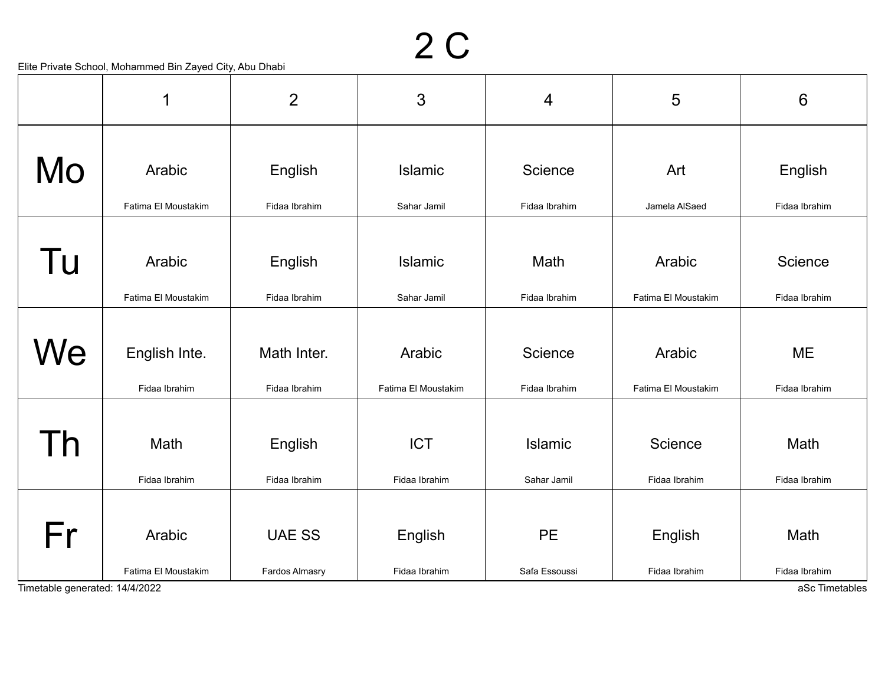|                                | 1                   | $\overline{2}$ | 3                   | $\overline{4}$ | 5                   | $6\phantom{1}6$ |
|--------------------------------|---------------------|----------------|---------------------|----------------|---------------------|-----------------|
|                                |                     |                |                     |                |                     |                 |
| Mo                             | Arabic              | English        | Islamic             | Science        | Art                 | English         |
|                                | Fatima El Moustakim | Fidaa Ibrahim  | Sahar Jamil         | Fidaa Ibrahim  | Jamela AlSaed       | Fidaa Ibrahim   |
|                                |                     |                |                     |                |                     |                 |
| Tu                             | Arabic              | English        | Islamic             | Math           | Arabic              | Science         |
|                                | Fatima El Moustakim | Fidaa Ibrahim  | Sahar Jamil         | Fidaa Ibrahim  | Fatima El Moustakim | Fidaa Ibrahim   |
|                                |                     |                |                     |                |                     |                 |
| We                             | English Inte.       | Math Inter.    | Arabic              | Science        | Arabic              | <b>ME</b>       |
|                                | Fidaa Ibrahim       | Fidaa Ibrahim  | Fatima El Moustakim | Fidaa Ibrahim  | Fatima El Moustakim | Fidaa Ibrahim   |
|                                |                     |                |                     |                |                     |                 |
| $\mathsf{h}$                   | Math                | English        | <b>ICT</b>          | <b>Islamic</b> | Science             | Math            |
|                                | Fidaa Ibrahim       | Fidaa Ibrahim  | Fidaa Ibrahim       | Sahar Jamil    | Fidaa Ibrahim       | Fidaa Ibrahim   |
|                                |                     |                |                     |                |                     |                 |
| Fr                             | Arabic              | <b>UAE SS</b>  | English             | <b>PE</b>      | English             | Math            |
|                                | Fatima El Moustakim | Fardos Almasry | Fidaa Ibrahim       | Safa Essoussi  | Fidaa Ibrahim       | Fidaa Ibrahim   |
| Timetable generated: 14/4/2022 |                     |                |                     |                |                     | aSc Timetables  |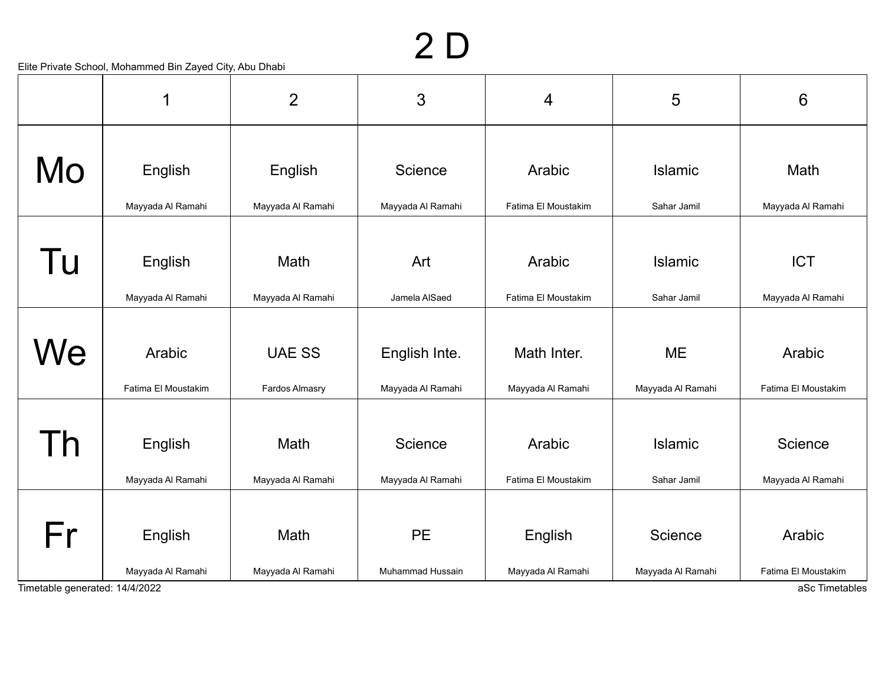## 2 D

|                                      | 1                             | $\overline{2}$                  | 3                                  | 4                                | 5                              | $6\phantom{1}6$               |
|--------------------------------------|-------------------------------|---------------------------------|------------------------------------|----------------------------------|--------------------------------|-------------------------------|
| Mo                                   | English                       | English                         | Science<br>Mayyada Al Ramahi       | Arabic<br>Fatima El Moustakim    | Islamic<br>Sahar Jamil         | Math<br>Mayyada Al Ramahi     |
|                                      | Mayyada Al Ramahi             | Mayyada Al Ramahi               |                                    |                                  |                                |                               |
| Tu                                   | English                       | Math                            | Art                                | Arabic                           | Islamic                        | <b>ICT</b>                    |
|                                      | Mayyada Al Ramahi             | Mayyada Al Ramahi               | Jamela AlSaed                      | Fatima El Moustakim              | Sahar Jamil                    | Mayyada Al Ramahi             |
| We                                   | Arabic<br>Fatima El Moustakim | <b>UAE SS</b><br>Fardos Almasry | English Inte.<br>Mayyada Al Ramahi | Math Inter.<br>Mayyada Al Ramahi | <b>ME</b><br>Mayyada Al Ramahi | Arabic<br>Fatima El Moustakim |
| Γh                                   | English<br>Mayyada Al Ramahi  | Math<br>Mayyada Al Ramahi       | Science<br>Mayyada Al Ramahi       | Arabic<br>Fatima El Moustakim    | <b>Islamic</b><br>Sahar Jamil  | Science<br>Mayyada Al Ramahi  |
| Fr<br>Timetable generated: 14/4/2022 | English<br>Mayyada Al Ramahi  | Math<br>Mayyada Al Ramahi       | <b>PE</b><br>Muhammad Hussain      | English<br>Mayyada Al Ramahi     | Science<br>Mayyada Al Ramahi   | Arabic<br>Fatima El Moustakim |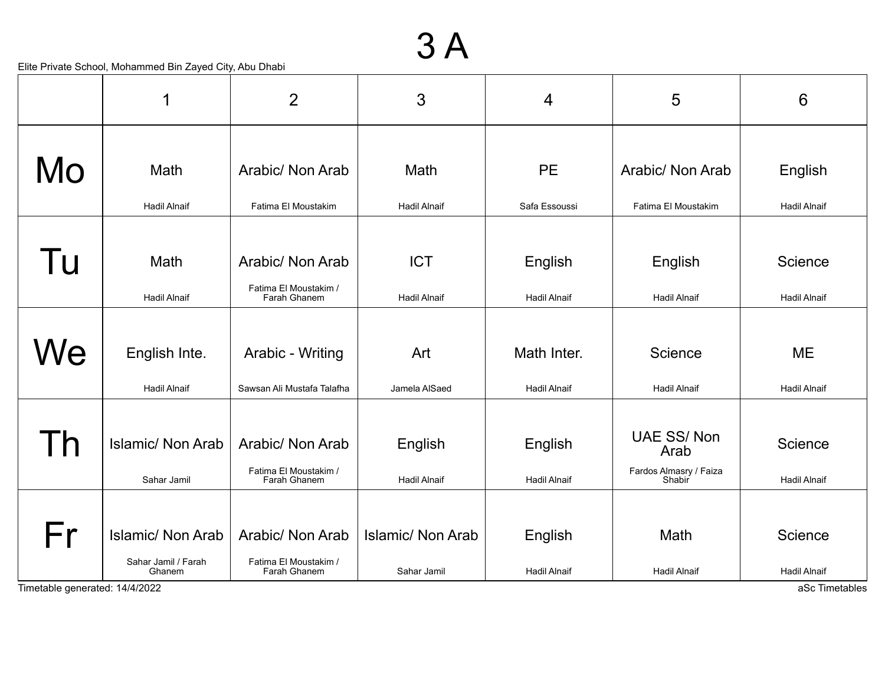#### 3 A

|                                      | 1                                                         | $\overline{2}$                                            | 3                                       | 4                                  | 5                                                             | 6                                                |
|--------------------------------------|-----------------------------------------------------------|-----------------------------------------------------------|-----------------------------------------|------------------------------------|---------------------------------------------------------------|--------------------------------------------------|
| Mo                                   | Math<br><b>Hadil Alnaif</b>                               | Arabic/ Non Arab<br>Fatima El Moustakim                   | Math<br><b>Hadil Alnaif</b>             | <b>PE</b><br>Safa Essoussi         | Arabic/ Non Arab<br>Fatima El Moustakim                       | English<br><b>Hadil Alnaif</b>                   |
| Tu                                   | Math<br><b>Hadil Alnaif</b>                               | Arabic/ Non Arab<br>Fatima El Moustakim /<br>Farah Ghanem | <b>ICT</b><br><b>Hadil Alnaif</b>       | English<br><b>Hadil Alnaif</b>     | English<br><b>Hadil Alnaif</b>                                | Science<br><b>Hadil Alnaif</b>                   |
| We                                   | English Inte.<br><b>Hadil Alnaif</b>                      | Arabic - Writing<br>Sawsan Ali Mustafa Talafha            | Art<br>Jamela AlSaed                    | Math Inter.<br><b>Hadil Alnaif</b> | Science<br><b>Hadil Alnaif</b>                                | <b>ME</b><br><b>Hadil Alnaif</b>                 |
| l h                                  | <b>Islamic/ Non Arab</b><br>Sahar Jamil                   | Arabic/ Non Arab<br>Fatima El Moustakim /<br>Farah Ghanem | English<br><b>Hadil Alnaif</b>          | English<br><b>Hadil Alnaif</b>     | <b>UAE SS/Non</b><br>Arab<br>Fardos Almasry / Faiza<br>Shabir | Science<br><b>Hadil Alnaif</b>                   |
| Fr<br>Timetable generated: 14/4/2022 | <b>Islamic/ Non Arab</b><br>Sahar Jamil / Farah<br>Ghanem | Arabic/ Non Arab<br>Fatima El Moustakim /<br>Farah Ghanem | <b>Islamic/ Non Arab</b><br>Sahar Jamil | English<br><b>Hadil Alnaif</b>     | Math<br><b>Hadil Alnaif</b>                                   | Science<br><b>Hadil Alnaif</b><br>aSc Timetables |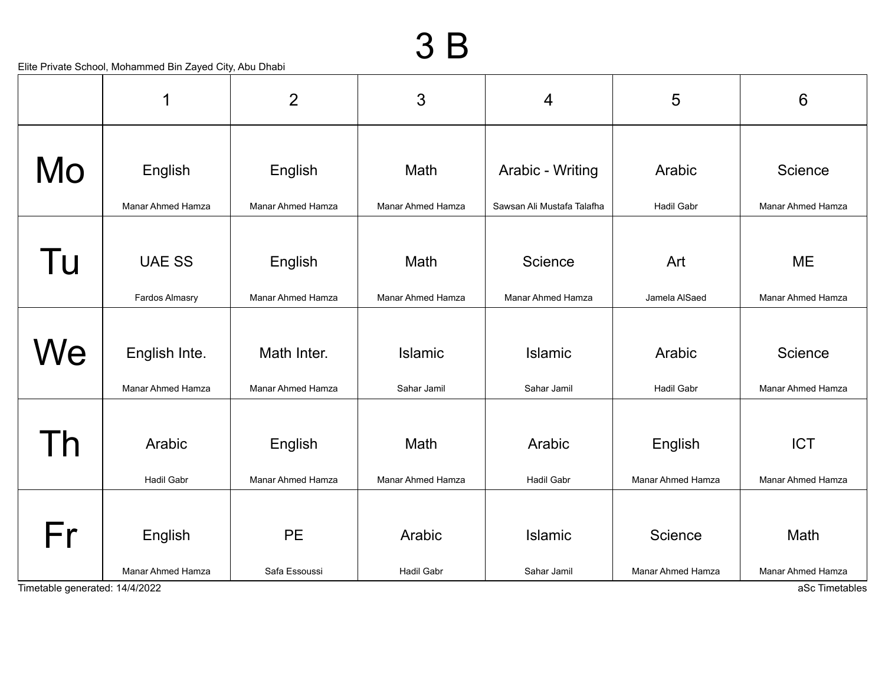|                                | 1                        | $\overline{2}$           | 3                        | 4                          | 5                 | 6                        |
|--------------------------------|--------------------------|--------------------------|--------------------------|----------------------------|-------------------|--------------------------|
|                                |                          |                          |                          |                            |                   |                          |
| Mo                             | English                  | English                  | Math                     | Arabic - Writing           | Arabic            | Science                  |
|                                | <b>Manar Ahmed Hamza</b> | <b>Manar Ahmed Hamza</b> | <b>Manar Ahmed Hamza</b> | Sawsan Ali Mustafa Talafha | <b>Hadil Gabr</b> | <b>Manar Ahmed Hamza</b> |
|                                |                          |                          |                          |                            |                   |                          |
| Tu                             | <b>UAE SS</b>            | English                  | Math                     | Science                    | Art               | <b>ME</b>                |
|                                | Fardos Almasry           | Manar Ahmed Hamza        | <b>Manar Ahmed Hamza</b> | Manar Ahmed Hamza          | Jamela AlSaed     | <b>Manar Ahmed Hamza</b> |
|                                |                          |                          |                          |                            |                   |                          |
| We                             | English Inte.            | Math Inter.              | <b>Islamic</b>           | <b>Islamic</b>             | Arabic            | Science                  |
|                                | Manar Ahmed Hamza        | <b>Manar Ahmed Hamza</b> | Sahar Jamil              | Sahar Jamil                | <b>Hadil Gabr</b> | Manar Ahmed Hamza        |
|                                |                          |                          |                          |                            |                   |                          |
| h                              | Arabic                   | English                  | Math                     | Arabic                     | English           | <b>ICT</b>               |
|                                | <b>Hadil Gabr</b>        | Manar Ahmed Hamza        | Manar Ahmed Hamza        | <b>Hadil Gabr</b>          | Manar Ahmed Hamza | Manar Ahmed Hamza        |
|                                |                          |                          |                          |                            |                   |                          |
| Fr                             | English                  | <b>PE</b>                | Arabic                   | <b>Islamic</b>             | Science           | Math                     |
|                                | Manar Ahmed Hamza        | Safa Essoussi            | Hadil Gabr               | Sahar Jamil                | Manar Ahmed Hamza | Manar Ahmed Hamza        |
| Timetable generated: 14/4/2022 |                          |                          |                          |                            |                   | aSc Timetables           |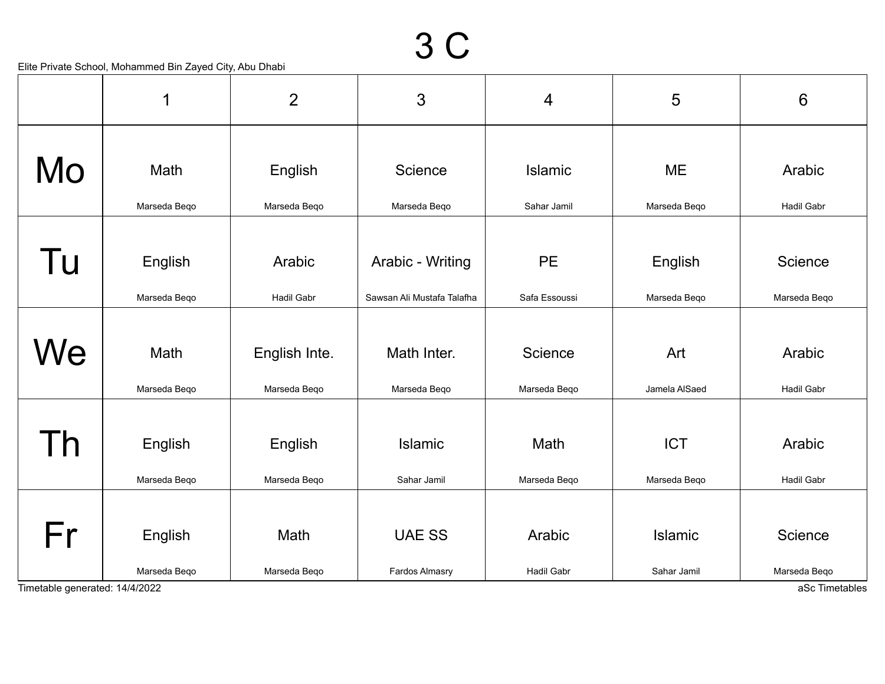|                                | 1            | $\overline{2}$    | 3                          | $\overline{4}$    | 5             | $6\phantom{1}$    |
|--------------------------------|--------------|-------------------|----------------------------|-------------------|---------------|-------------------|
|                                |              |                   |                            |                   |               |                   |
| Mo                             | Math         | English           | Science                    | <b>Islamic</b>    | <b>ME</b>     | Arabic            |
|                                | Marseda Beqo | Marseda Beqo      | Marseda Beqo               | Sahar Jamil       | Marseda Beqo  | Hadil Gabr        |
|                                |              |                   |                            |                   |               |                   |
| Tu                             | English      | Arabic            | Arabic - Writing           | <b>PE</b>         | English       | Science           |
|                                | Marseda Beqo | <b>Hadil Gabr</b> | Sawsan Ali Mustafa Talafha | Safa Essoussi     | Marseda Beqo  | Marseda Beqo      |
|                                |              |                   |                            |                   |               |                   |
| We                             | Math         | English Inte.     | Math Inter.                | Science           | Art           | Arabic            |
|                                | Marseda Beqo | Marseda Beqo      | Marseda Beqo               | Marseda Beqo      | Jamela AlSaed | <b>Hadil Gabr</b> |
|                                |              |                   |                            |                   |               |                   |
| Γh                             | English      | English           | <b>Islamic</b>             | Math              | <b>ICT</b>    | Arabic            |
|                                | Marseda Beqo | Marseda Beqo      | Sahar Jamil                | Marseda Beqo      | Marseda Beqo  | Hadil Gabr        |
|                                |              |                   |                            |                   |               |                   |
| Fr                             | English      | Math              | <b>UAE SS</b>              | Arabic            | Islamic       | Science           |
|                                | Marseda Beqo | Marseda Beqo      | Fardos Almasry             | <b>Hadil Gabr</b> | Sahar Jamil   | Marseda Beqo      |
| Timetable generated: 14/4/2022 |              |                   |                            |                   |               | aSc Timetables    |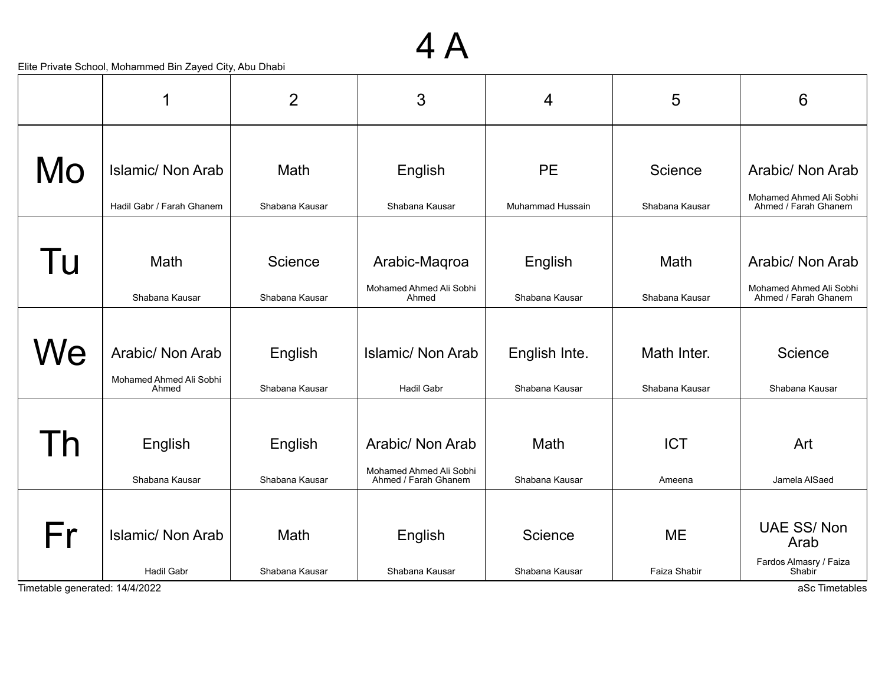#### 4 A

|                                | 1                                | $\overline{2}$ | 3                                               | 4                       | 5              | 6                                               |
|--------------------------------|----------------------------------|----------------|-------------------------------------------------|-------------------------|----------------|-------------------------------------------------|
|                                |                                  |                |                                                 |                         |                |                                                 |
| Mo                             | <b>Islamic/ Non Arab</b>         | Math           | English                                         | <b>PE</b>               | Science        | Arabic/ Non Arab                                |
|                                | Hadil Gabr / Farah Ghanem        | Shabana Kausar | Shabana Kausar                                  | <b>Muhammad Hussain</b> | Shabana Kausar | Mohamed Ahmed Ali Sobhi<br>Ahmed / Farah Ghanem |
|                                |                                  |                |                                                 |                         |                |                                                 |
| Tu                             | Math                             | Science        | Arabic-Maqroa                                   | English                 | Math           | Arabic/ Non Arab                                |
|                                | Shabana Kausar                   | Shabana Kausar | Mohamed Ahmed Ali Sobhi<br>Ahmed                | Shabana Kausar          | Shabana Kausar | Mohamed Ahmed Ali Sobhi<br>Ahmed / Farah Ghanem |
|                                |                                  |                |                                                 |                         |                |                                                 |
| We                             | Arabic/ Non Arab                 | English        | <b>Islamic/ Non Arab</b>                        | English Inte.           | Math Inter.    | Science                                         |
|                                | Mohamed Ahmed Ali Sobhi<br>Ahmed | Shabana Kausar | <b>Hadil Gabr</b>                               | Shabana Kausar          | Shabana Kausar | Shabana Kausar                                  |
|                                |                                  |                |                                                 |                         |                |                                                 |
| <u>n</u>                       | English                          | English        | Arabic/ Non Arab                                | Math                    | <b>ICT</b>     | Art                                             |
|                                | Shabana Kausar                   | Shabana Kausar | Mohamed Ahmed Ali Sobhi<br>Ahmed / Farah Ghanem | Shabana Kausar          | Ameena         | Jamela AlSaed                                   |
|                                |                                  |                |                                                 |                         |                |                                                 |
| Fr                             | <b>Islamic/ Non Arab</b>         | Math           | English                                         | Science                 | <b>ME</b>      | <b>UAE SS/Non</b><br>Arab                       |
|                                | Hadil Gabr                       | Shabana Kausar | Shabana Kausar                                  | Shabana Kausar          | Faiza Shabir   | Fardos Almasry / Faiza<br>Shabir                |
| Timetable generated: 14/4/2022 |                                  |                |                                                 |                         |                | aSc Timetables                                  |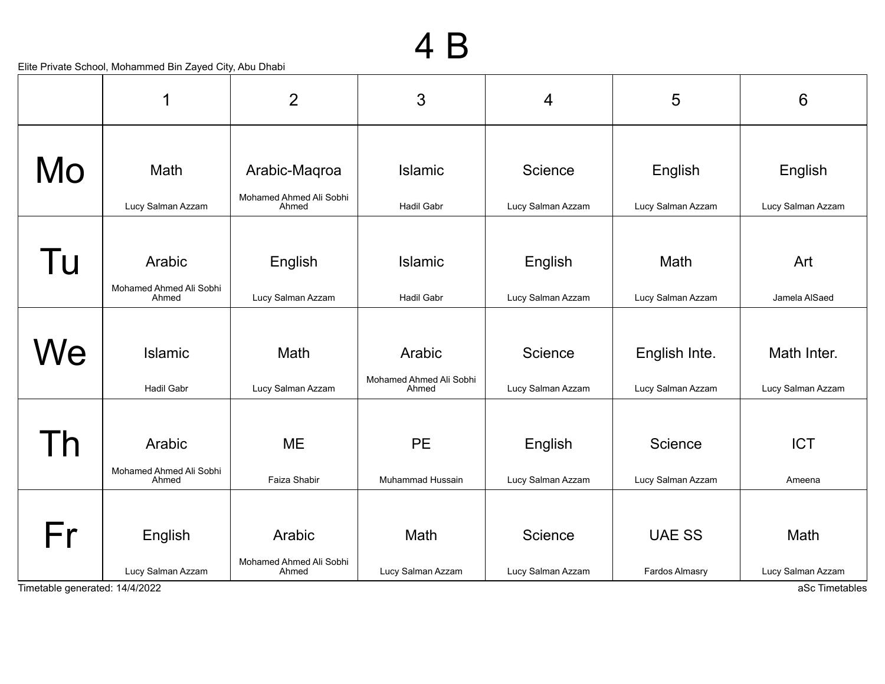|                                | 1                                 | $\overline{2}$                   | 3                                | 4                 | 5                 | $6\phantom{1}6$                     |
|--------------------------------|-----------------------------------|----------------------------------|----------------------------------|-------------------|-------------------|-------------------------------------|
| Mo                             | Math                              | Arabic-Maqroa                    | <b>Islamic</b>                   | Science           | English           | English                             |
|                                | Lucy Salman Azzam                 | Mohamed Ahmed Ali Sobhi<br>Ahmed | <b>Hadil Gabr</b>                | Lucy Salman Azzam | Lucy Salman Azzam | Lucy Salman Azzam                   |
|                                |                                   |                                  |                                  |                   |                   |                                     |
| Tu                             | Arabic<br>Mohamed Ahmed Ali Sobhi | English                          | <b>Islamic</b>                   | English           | Math              | Art                                 |
|                                | Ahmed                             | Lucy Salman Azzam                | <b>Hadil Gabr</b>                | Lucy Salman Azzam | Lucy Salman Azzam | Jamela AlSaed                       |
| We                             | <b>Islamic</b>                    | Math                             | Arabic                           | Science           | English Inte.     | Math Inter.                         |
|                                | Hadil Gabr                        | Lucy Salman Azzam                | Mohamed Ahmed Ali Sobhi<br>Ahmed | Lucy Salman Azzam | Lucy Salman Azzam | Lucy Salman Azzam                   |
|                                |                                   |                                  |                                  |                   |                   |                                     |
| l h                            | Arabic                            | <b>ME</b>                        | <b>PE</b>                        | English           | Science           | <b>ICT</b>                          |
|                                | Mohamed Ahmed Ali Sobhi<br>Ahmed  | Faiza Shabir                     | Muhammad Hussain                 | Lucy Salman Azzam | Lucy Salman Azzam | Ameena                              |
|                                |                                   |                                  |                                  |                   |                   |                                     |
| Fr                             | English                           | Arabic                           | Math                             | Science           | <b>UAE SS</b>     | Math                                |
| Timetable generated: 14/4/2022 | Lucy Salman Azzam                 | Mohamed Ahmed Ali Sobhi<br>Ahmed | Lucy Salman Azzam                | Lucy Salman Azzam | Fardos Almasry    | Lucy Salman Azzam<br>aSc Timetables |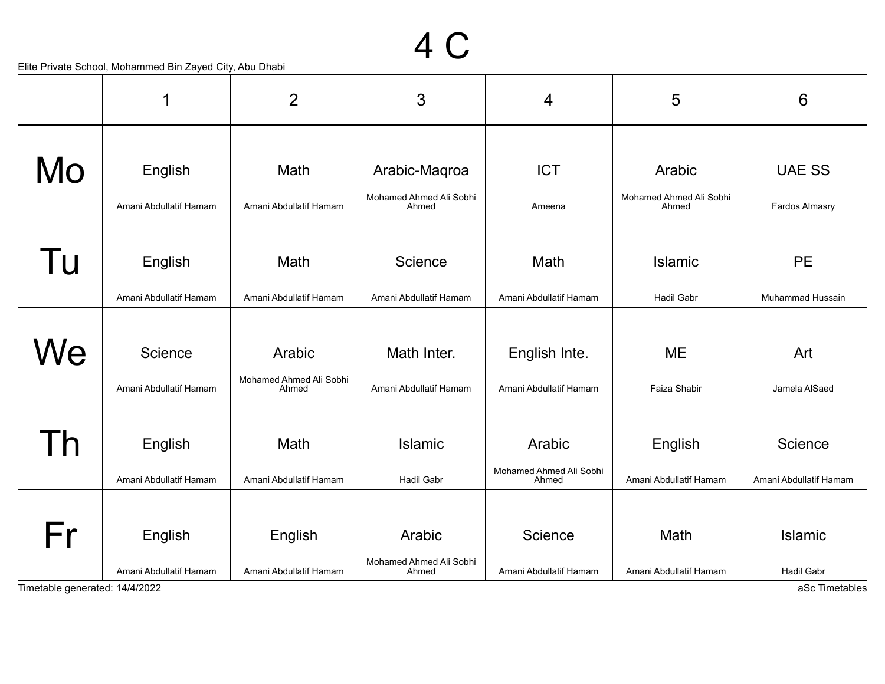|                                                  | 1                      | $\overline{2}$                   | 3                                | 4                                | 5                                | $6\phantom{1}6$        |  |
|--------------------------------------------------|------------------------|----------------------------------|----------------------------------|----------------------------------|----------------------------------|------------------------|--|
|                                                  |                        |                                  |                                  |                                  |                                  |                        |  |
| Mo                                               | English                | Math                             | Arabic-Maqroa                    | <b>ICT</b>                       | Arabic                           | <b>UAE SS</b>          |  |
|                                                  | Amani Abdullatif Hamam | Amani Abdullatif Hamam           | Mohamed Ahmed Ali Sobhi<br>Ahmed | Ameena                           | Mohamed Ahmed Ali Sobhi<br>Ahmed | Fardos Almasry         |  |
|                                                  |                        |                                  |                                  |                                  |                                  |                        |  |
| Tu                                               | English                | Math                             | Science                          | Math                             | Islamic                          | <b>PE</b>              |  |
|                                                  | Amani Abdullatif Hamam | Amani Abdullatif Hamam           | Amani Abdullatif Hamam           | Amani Abdullatif Hamam           | <b>Hadil Gabr</b>                | Muhammad Hussain       |  |
|                                                  |                        |                                  |                                  |                                  |                                  |                        |  |
| We                                               | Science                | Arabic                           | Math Inter.                      | English Inte.                    | <b>ME</b>                        | Art                    |  |
|                                                  | Amani Abdullatif Hamam | Mohamed Ahmed Ali Sobhi<br>Ahmed | Amani Abdullatif Hamam           | Amani Abdullatif Hamam           | Faiza Shabir                     | Jamela AlSaed          |  |
|                                                  |                        |                                  |                                  |                                  |                                  |                        |  |
| Th                                               | English                | Math                             | <b>Islamic</b>                   | Arabic                           | English                          | Science                |  |
|                                                  | Amani Abdullatif Hamam | Amani Abdullatif Hamam           | <b>Hadil Gabr</b>                | Mohamed Ahmed Ali Sobhi<br>Ahmed | Amani Abdullatif Hamam           | Amani Abdullatif Hamam |  |
|                                                  |                        |                                  |                                  |                                  |                                  |                        |  |
| Fr                                               | English                | English                          | Arabic                           | Science                          | Math                             | Islamic                |  |
|                                                  | Amani Abdullatif Hamam | Amani Abdullatif Hamam           | Mohamed Ahmed Ali Sobhi<br>Ahmed | Amani Abdullatif Hamam           | Amani Abdullatif Hamam           | <b>Hadil Gabr</b>      |  |
| aSc Timetables<br>Timetable generated: 14/4/2022 |                        |                                  |                                  |                                  |                                  |                        |  |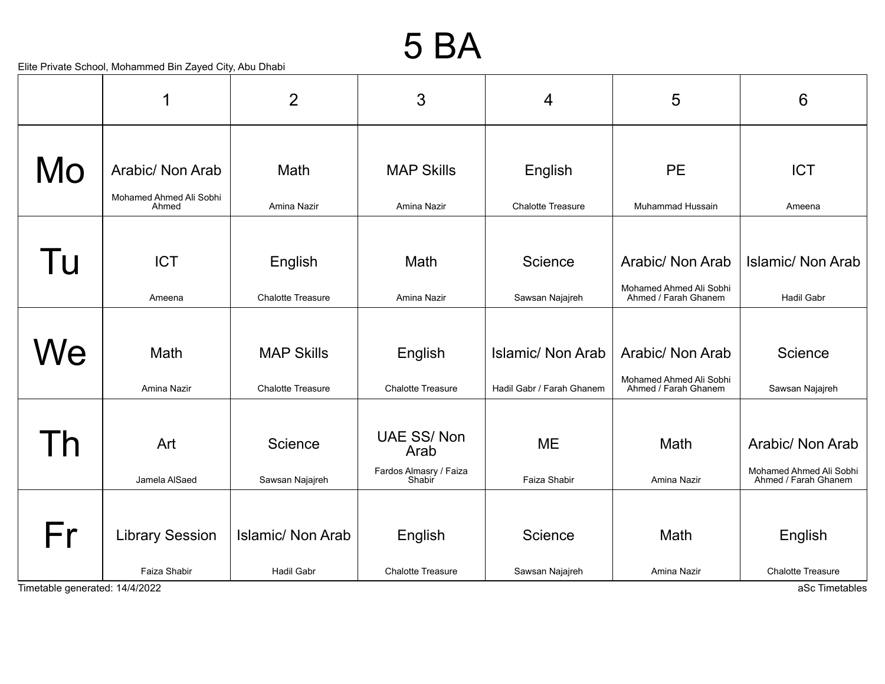#### 5 BA

|                                | 1                                | $\overline{2}$                                | 3                                                             | 4                                              | 5                                                                   | 6                                                                   |
|--------------------------------|----------------------------------|-----------------------------------------------|---------------------------------------------------------------|------------------------------------------------|---------------------------------------------------------------------|---------------------------------------------------------------------|
| Mo                             | Arabic/ Non Arab                 | Math                                          | <b>MAP Skills</b>                                             | English                                        | <b>PE</b>                                                           | <b>ICT</b>                                                          |
|                                | Mohamed Ahmed Ali Sobhi<br>Ahmed | Amina Nazir                                   | Amina Nazir                                                   | <b>Chalotte Treasure</b>                       | Muhammad Hussain                                                    | Ameena                                                              |
| Tu                             | <b>ICT</b>                       | English                                       | Math                                                          | Science                                        | Arabic/ Non Arab<br>Mohamed Ahmed Ali Sobhi                         | <b>Islamic/ Non Arab</b>                                            |
|                                | Ameena                           | <b>Chalotte Treasure</b>                      | Amina Nazir                                                   | Sawsan Najajreh                                | Ahmed / Farah Ghanem                                                | <b>Hadil Gabr</b>                                                   |
| We                             | Math<br>Amina Nazir              | <b>MAP Skills</b><br><b>Chalotte Treasure</b> | English<br><b>Chalotte Treasure</b>                           | Islamic/ Non Arab<br>Hadil Gabr / Farah Ghanem | Arabic/ Non Arab<br>Mohamed Ahmed Ali Sobhi<br>Ahmed / Farah Ghanem | Science<br>Sawsan Najajreh                                          |
| l h                            | Art<br>Jamela AlSaed             | Science<br>Sawsan Najajreh                    | <b>UAE SS/Non</b><br>Arab<br>Fardos Almasry / Faiza<br>Shabir | <b>ME</b><br>Faiza Shabir                      | Math<br>Amina Nazir                                                 | Arabic/ Non Arab<br>Mohamed Ahmed Ali Sobhi<br>Ahmed / Farah Ghanem |
| Fr                             | <b>Library Session</b>           | <b>Islamic/ Non Arab</b>                      | English                                                       | Science                                        | Math                                                                | English                                                             |
| Timetable generated: 14/4/2022 | Faiza Shabir                     | <b>Hadil Gabr</b>                             | <b>Chalotte Treasure</b>                                      | Sawsan Najajreh                                | Amina Nazir                                                         | <b>Chalotte Treasure</b><br>aSc Timetables                          |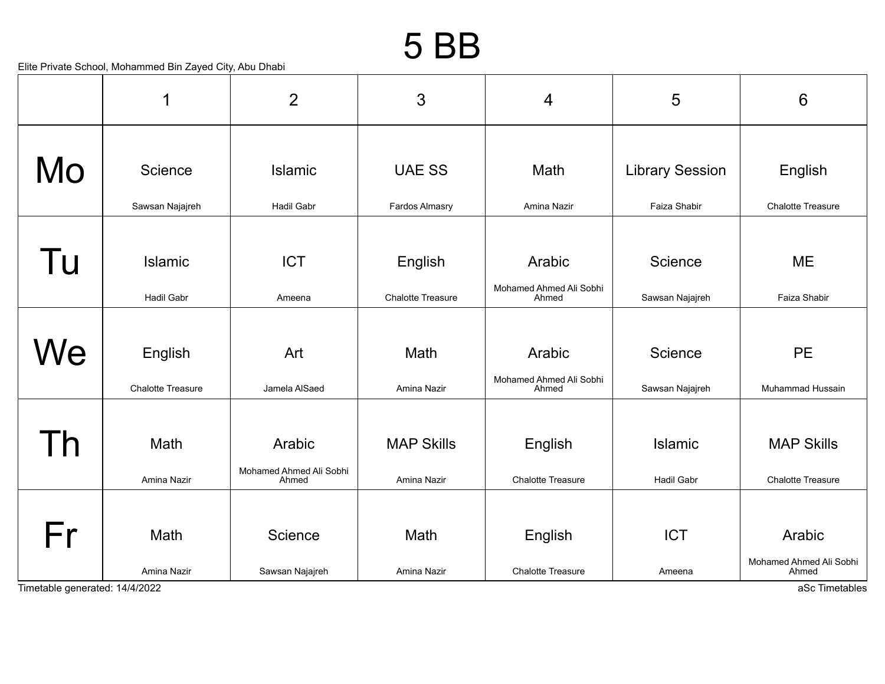#### 5 BB

|    | 1                 | $\overline{2}$                   | 3                        | 4                                | 5                      | $6\phantom{1}$                   |
|----|-------------------|----------------------------------|--------------------------|----------------------------------|------------------------|----------------------------------|
| Mo | Science           | Islamic                          | <b>UAE SS</b>            | Math                             | <b>Library Session</b> | English                          |
|    | Sawsan Najajreh   | <b>Hadil Gabr</b>                | <b>Fardos Almasry</b>    | Amina Nazir                      | Faiza Shabir           | <b>Chalotte Treasure</b>         |
|    |                   |                                  |                          |                                  |                        |                                  |
| Tu | Islamic           | <b>ICT</b>                       | English                  | Arabic                           | Science                | <b>ME</b>                        |
|    | Hadil Gabr        | Ameena                           | <b>Chalotte Treasure</b> | Mohamed Ahmed Ali Sobhi<br>Ahmed | Sawsan Najajreh        | Faiza Shabir                     |
|    |                   |                                  |                          |                                  |                        |                                  |
| We | English           | Art                              | Math                     | Arabic                           | Science                | <b>PE</b>                        |
|    | Chalotte Treasure | Jamela AlSaed                    | Amina Nazir              | Mohamed Ahmed Ali Sobhi<br>Ahmed | Sawsan Najajreh        | Muhammad Hussain                 |
|    |                   |                                  |                          |                                  |                        |                                  |
| h  | Math              | Arabic                           | <b>MAP Skills</b>        | English                          | Islamic                | <b>MAP Skills</b>                |
|    | Amina Nazir       | Mohamed Ahmed Ali Sobhi<br>Ahmed | Amina Nazir              | <b>Chalotte Treasure</b>         | Hadil Gabr             | <b>Chalotte Treasure</b>         |
|    |                   |                                  |                          |                                  |                        |                                  |
| Fr | Math              | Science                          | Math                     | English                          | <b>ICT</b>             | Arabic                           |
|    | Amina Nazir       | Sawsan Najajreh                  | Amina Nazir              | <b>Chalotte Treasure</b>         | Ameena                 | Mohamed Ahmed Ali Sobhi<br>Ahmed |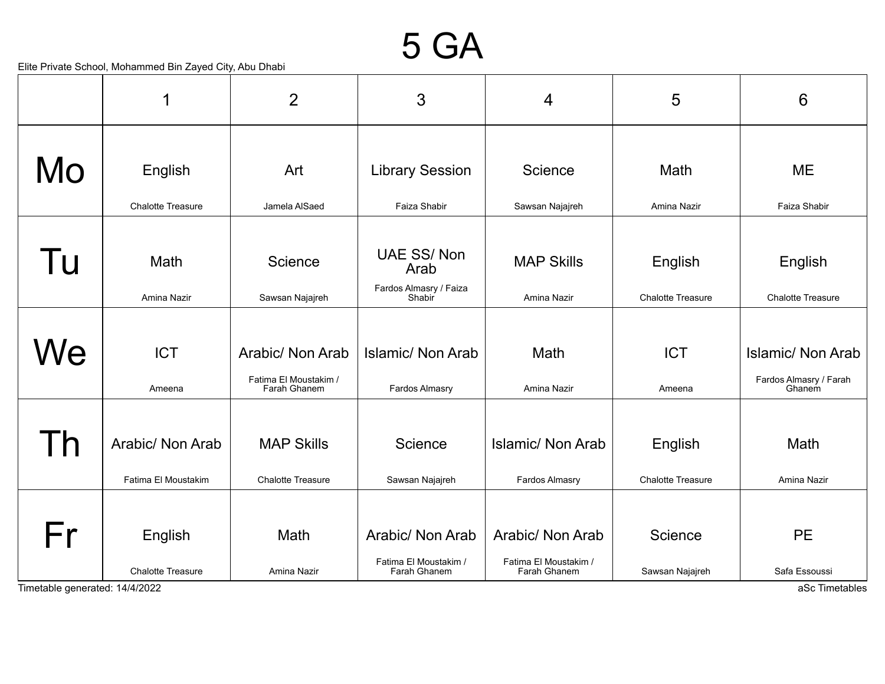#### 5 GA

|                                      | 1                                       | $\overline{2}$                                            | 3                                                         | 4                                                         | 5                                   | 6                                                     |
|--------------------------------------|-----------------------------------------|-----------------------------------------------------------|-----------------------------------------------------------|-----------------------------------------------------------|-------------------------------------|-------------------------------------------------------|
| Mo                                   | English                                 | Art                                                       | <b>Library Session</b>                                    | Science                                                   | Math                                | <b>ME</b>                                             |
|                                      | <b>Chalotte Treasure</b>                | Jamela AlSaed                                             | Faiza Shabir                                              | Sawsan Najajreh                                           | Amina Nazir                         | Faiza Shabir                                          |
| Tu                                   | Math                                    | Science                                                   | <b>UAE SS/Non</b><br>Arab                                 | <b>MAP Skills</b>                                         | English                             | English                                               |
|                                      | Amina Nazir                             | Sawsan Najajreh                                           | Fardos Almasry / Faiza<br>Shabir                          | Amina Nazir                                               | <b>Chalotte Treasure</b>            | <b>Chalotte Treasure</b>                              |
| We                                   | <b>ICT</b><br>Ameena                    | Arabic/ Non Arab<br>Fatima El Moustakim /<br>Farah Ghanem | <b>Islamic/ Non Arab</b><br>Fardos Almasry                | Math<br>Amina Nazir                                       | <b>ICT</b><br>Ameena                | Islamic/ Non Arab<br>Fardos Almasry / Farah<br>Ghanem |
| $\overline{D}$                       | Arabic/ Non Arab<br>Fatima El Moustakim | <b>MAP Skills</b><br><b>Chalotte Treasure</b>             | Science<br>Sawsan Najajreh                                | <b>Islamic/ Non Arab</b><br>Fardos Almasry                | English<br><b>Chalotte Treasure</b> | Math<br>Amina Nazir                                   |
| Fr<br>Timetable generated: 14/4/2022 | English<br><b>Chalotte Treasure</b>     | Math<br>Amina Nazir                                       | Arabic/ Non Arab<br>Fatima El Moustakim /<br>Farah Ghanem | Arabic/ Non Arab<br>Fatima El Moustakim /<br>Farah Ghanem | Science<br>Sawsan Najajreh          | <b>PE</b><br>Safa Essoussi<br>aSc Timetables          |